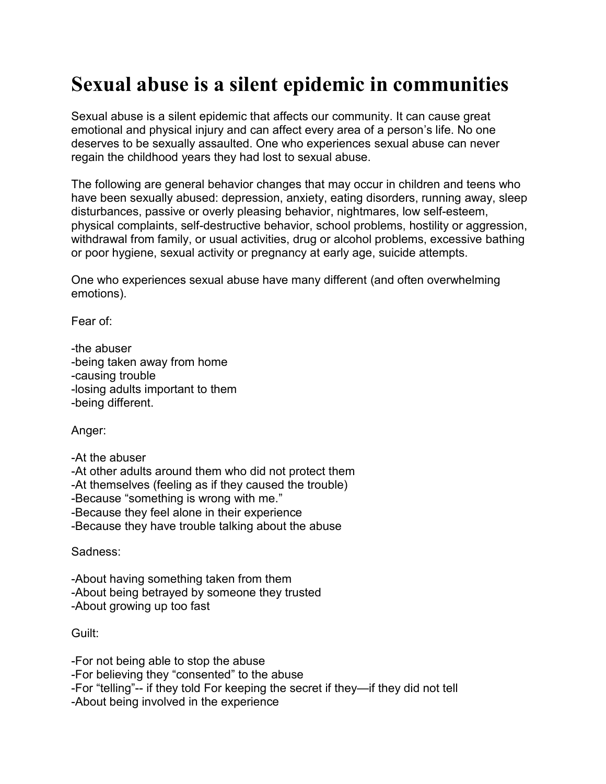## **Sexual abuse is a silent epidemic in communities**

Sexual abuse is a silent epidemic that affects our community. It can cause great emotional and physical injury and can affect every area of a person's life. No one deserves to be sexually assaulted. One who experiences sexual abuse can never regain the childhood years they had lost to sexual abuse.

The following are general behavior changes that may occur in children and teens who have been sexually abused: depression, anxiety, eating disorders, running away, sleep disturbances, passive or overly pleasing behavior, nightmares, low self-esteem, physical complaints, self-destructive behavior, school problems, hostility or aggression, withdrawal from family, or usual activities, drug or alcohol problems, excessive bathing or poor hygiene, sexual activity or pregnancy at early age, suicide attempts.

One who experiences sexual abuse have many different (and often overwhelming emotions).

Fear of:

-the abuser -being taken away from home -causing trouble -losing adults important to them -being different.

Anger:

-At the abuser -At other adults around them who did not protect them -At themselves (feeling as if they caused the trouble) -Because "something is wrong with me." -Because they feel alone in their experience -Because they have trouble talking about the abuse

Sadness:

-About having something taken from them -About being betrayed by someone they trusted -About growing up too fast

Guilt:

-For not being able to stop the abuse -For believing they "consented" to the abuse -For "telling"-- if they told For keeping the secret if they—if they did not tell -About being involved in the experience